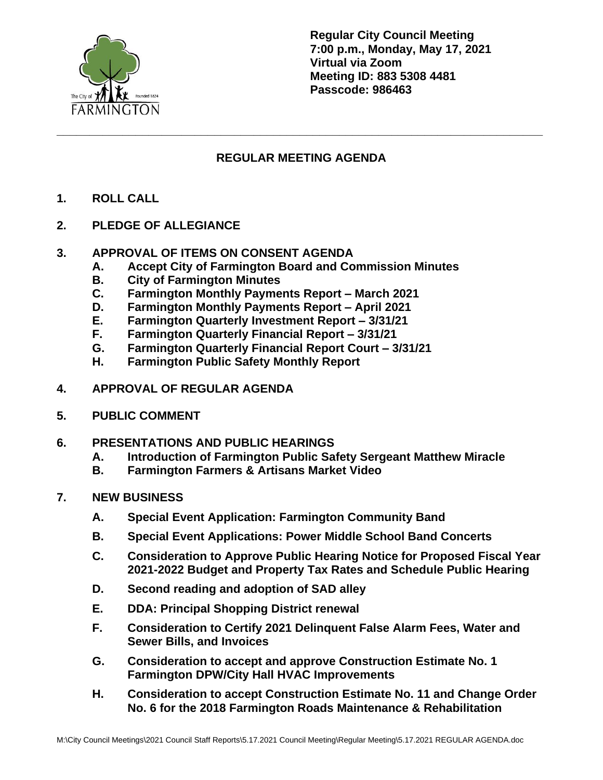

**Regular City Council Meeting 7:00 p.m., Monday, May 17, 2021 Virtual via Zoom Meeting ID: 883 5308 4481 Passcode: 986463**

## **REGULAR MEETING AGENDA**

**\_\_\_\_\_\_\_\_\_\_\_\_\_\_\_\_\_\_\_\_\_\_\_\_\_\_\_\_\_\_\_\_\_\_\_\_\_\_\_\_\_\_\_\_\_\_\_\_\_\_\_\_\_\_\_\_\_\_\_\_\_\_\_\_\_\_\_\_\_\_\_\_\_\_**

- **1. ROLL CALL**
- **2. PLEDGE OF ALLEGIANCE**
- **3. APPROVAL OF ITEMS ON CONSENT AGENDA**
	- **A. Accept City of Farmington Board and Commission Minutes**
	- **B. City of Farmington Minutes**
	- **C. Farmington Monthly Payments Report – March 2021**
	- **D. Farmington Monthly Payments Report – April 2021**
	- **E. Farmington Quarterly Investment Report – 3/31/21**
	- **F. Farmington Quarterly Financial Report – 3/31/21**
	- **G. Farmington Quarterly Financial Report Court – 3/31/21**
	- **H. Farmington Public Safety Monthly Report**
- **4. APPROVAL OF REGULAR AGENDA**
- **5. PUBLIC COMMENT**
- **6. PRESENTATIONS AND PUBLIC HEARINGS**
	- **A. Introduction of Farmington Public Safety Sergeant Matthew Miracle**
	- **B. Farmington Farmers & Artisans Market Video**
- **7. NEW BUSINESS**
	- **A. Special Event Application: Farmington Community Band**
	- **B. Special Event Applications: Power Middle School Band Concerts**
	- **C. Consideration to Approve Public Hearing Notice for Proposed Fiscal Year 2021-2022 Budget and Property Tax Rates and Schedule Public Hearing**
	- **D. Second reading and adoption of SAD alley**
	- **E. DDA: Principal Shopping District renewal**
	- **F. Consideration to Certify 2021 Delinquent False Alarm Fees, Water and Sewer Bills, and Invoices**
	- **G. Consideration to accept and approve Construction Estimate No. 1 Farmington DPW/City Hall HVAC Improvements**
	- **H. Consideration to accept Construction Estimate No. 11 and Change Order No. 6 for the 2018 Farmington Roads Maintenance & Rehabilitation**